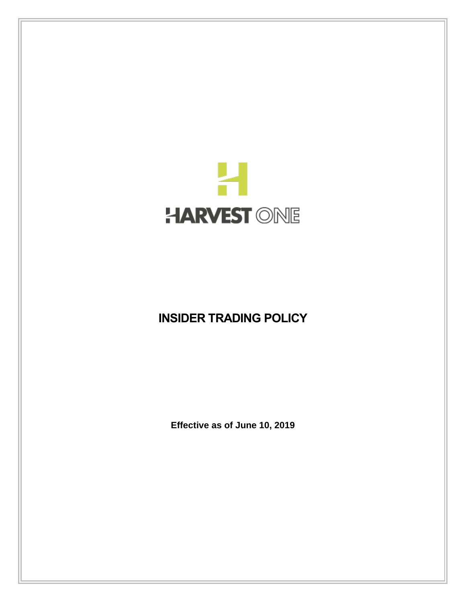

# **INSIDER TRADING POLICY**

**Effective as of June 10, 2019**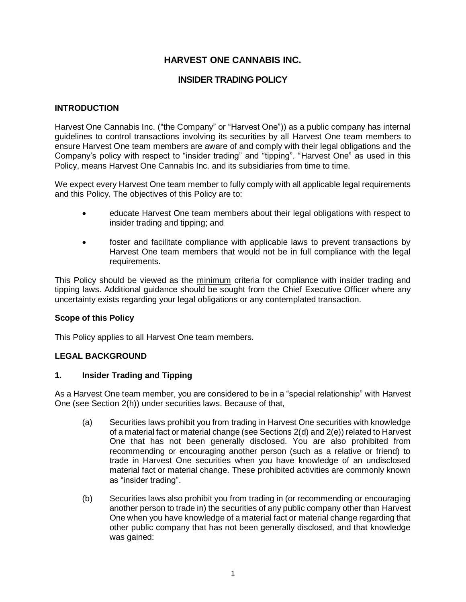# **HARVEST ONE CANNABIS INC.**

## **INSIDER TRADING POLICY**

## **INTRODUCTION**

Harvest One Cannabis Inc. ("the Company" or "Harvest One")) as a public company has internal guidelines to control transactions involving its securities by all Harvest One team members to ensure Harvest One team members are aware of and comply with their legal obligations and the Company's policy with respect to "insider trading" and "tipping". "Harvest One" as used in this Policy, means Harvest One Cannabis Inc. and its subsidiaries from time to time.

We expect every Harvest One team member to fully comply with all applicable legal requirements and this Policy. The objectives of this Policy are to:

- educate Harvest One team members about their legal obligations with respect to insider trading and tipping; and
- foster and facilitate compliance with applicable laws to prevent transactions by Harvest One team members that would not be in full compliance with the legal requirements.

This Policy should be viewed as the minimum criteria for compliance with insider trading and tipping laws. Additional guidance should be sought from the Chief Executive Officer where any uncertainty exists regarding your legal obligations or any contemplated transaction.

## **Scope of this Policy**

This Policy applies to all Harvest One team members.

## **LEGAL BACKGROUND**

#### **1. Insider Trading and Tipping**

As a Harvest One team member, you are considered to be in a "special relationship" with Harvest One (see Section [2\(h\)\)](#page-3-0) under securities laws. Because of that,

- (a) Securities laws prohibit you from trading in Harvest One securities with knowledge of a material fact or material change (see Sections [2\(d\)](#page-2-0) and [2\(e\)\)](#page-2-1) related to Harvest One that has not been generally disclosed. You are also prohibited from recommending or encouraging another person (such as a relative or friend) to trade in Harvest One securities when you have knowledge of an undisclosed material fact or material change. These prohibited activities are commonly known as "insider trading".
- <span id="page-1-0"></span>(b) Securities laws also prohibit you from trading in (or recommending or encouraging another person to trade in) the securities of any public company other than Harvest One when you have knowledge of a material fact or material change regarding that other public company that has not been generally disclosed, and that knowledge was gained: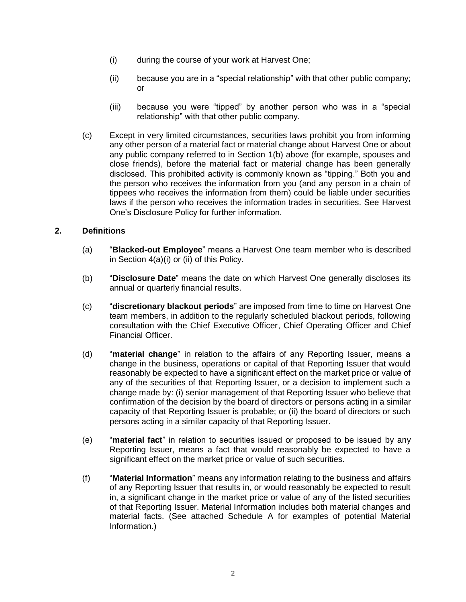- (i) during the course of your work at Harvest One;
- (ii) because you are in a "special relationship" with that other public company; or
- (iii) because you were "tipped" by another person who was in a "special relationship" with that other public company.
- (c) Except in very limited circumstances, securities laws prohibit you from informing any other person of a material fact or material change about Harvest One or about any public company referred to in Section [1\(b\)](#page-1-0) above (for example, spouses and close friends), before the material fact or material change has been generally disclosed. This prohibited activity is commonly known as "tipping." Both you and the person who receives the information from you (and any person in a chain of tippees who receives the information from them) could be liable under securities laws if the person who receives the information trades in securities. See Harvest One's Disclosure Policy for further information.

## **2. Definitions**

- (a) "**Blacked-out Employee**" means a Harvest One team member who is described in Section 4(a[\)\(i\)](#page-4-0) or [\(ii\)](#page-5-0) of this Policy.
- (b) "**Disclosure Date**" means the date on which Harvest One generally discloses its annual or quarterly financial results.
- (c) "**discretionary blackout periods**" are imposed from time to time on Harvest One team members, in addition to the regularly scheduled blackout periods, following consultation with the Chief Executive Officer, Chief Operating Officer and Chief Financial Officer.
- <span id="page-2-0"></span>(d) "**material change**" in relation to the affairs of any Reporting Issuer, means a change in the business, operations or capital of that Reporting Issuer that would reasonably be expected to have a significant effect on the market price or value of any of the securities of that Reporting Issuer, or a decision to implement such a change made by: (i) senior management of that Reporting Issuer who believe that confirmation of the decision by the board of directors or persons acting in a similar capacity of that Reporting Issuer is probable; or (ii) the board of directors or such persons acting in a similar capacity of that Reporting Issuer.
- <span id="page-2-1"></span>(e) "**material fact**" in relation to securities issued or proposed to be issued by any Reporting Issuer, means a fact that would reasonably be expected to have a significant effect on the market price or value of such securities.
- (f) "**Material Information**" means any information relating to the business and affairs of any Reporting Issuer that results in, or would reasonably be expected to result in, a significant change in the market price or value of any of the listed securities of that Reporting Issuer. Material Information includes both material changes and material facts. (See attached Schedule A for examples of potential Material Information.)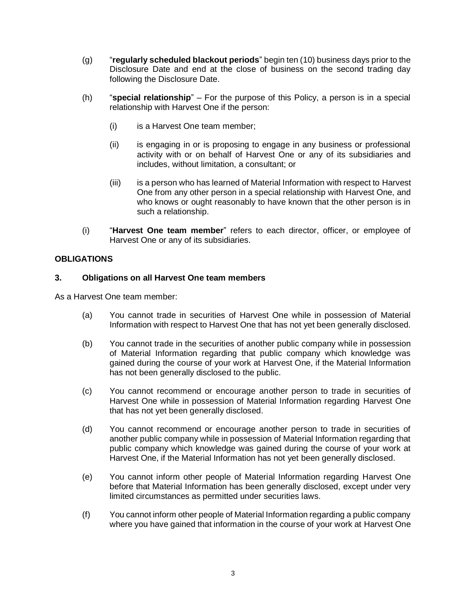- (g) "**regularly scheduled blackout periods**" begin ten (10) business days prior to the Disclosure Date and end at the close of business on the second trading day following the Disclosure Date.
- <span id="page-3-0"></span>(h) "**special relationship**" – For the purpose of this Policy, a person is in a special relationship with Harvest One if the person:
	- (i) is a Harvest One team member;
	- (ii) is engaging in or is proposing to engage in any business or professional activity with or on behalf of Harvest One or any of its subsidiaries and includes, without limitation, a consultant; or
	- (iii) is a person who has learned of Material Information with respect to Harvest One from any other person in a special relationship with Harvest One, and who knows or ought reasonably to have known that the other person is in such a relationship.
- (i) "**Harvest One team member**" refers to each director, officer, or employee of Harvest One or any of its subsidiaries.

## **OBLIGATIONS**

## **3. Obligations on all Harvest One team members**

As a Harvest One team member:

- (a) You cannot trade in securities of Harvest One while in possession of Material Information with respect to Harvest One that has not yet been generally disclosed.
- (b) You cannot trade in the securities of another public company while in possession of Material Information regarding that public company which knowledge was gained during the course of your work at Harvest One, if the Material Information has not been generally disclosed to the public.
- (c) You cannot recommend or encourage another person to trade in securities of Harvest One while in possession of Material Information regarding Harvest One that has not yet been generally disclosed.
- (d) You cannot recommend or encourage another person to trade in securities of another public company while in possession of Material Information regarding that public company which knowledge was gained during the course of your work at Harvest One, if the Material Information has not yet been generally disclosed.
- (e) You cannot inform other people of Material Information regarding Harvest One before that Material Information has been generally disclosed, except under very limited circumstances as permitted under securities laws.
- (f) You cannot inform other people of Material Information regarding a public company where you have gained that information in the course of your work at Harvest One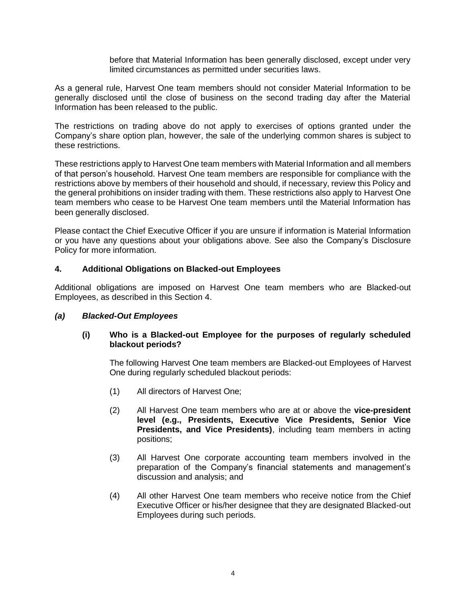before that Material Information has been generally disclosed, except under very limited circumstances as permitted under securities laws.

As a general rule, Harvest One team members should not consider Material Information to be generally disclosed until the close of business on the second trading day after the Material Information has been released to the public.

The restrictions on trading above do not apply to exercises of options granted under the Company's share option plan, however, the sale of the underlying common shares is subject to these restrictions.

These restrictions apply to Harvest One team members with Material Information and all members of that person's household. Harvest One team members are responsible for compliance with the restrictions above by members of their household and should, if necessary, review this Policy and the general prohibitions on insider trading with them. These restrictions also apply to Harvest One team members who cease to be Harvest One team members until the Material Information has been generally disclosed.

Please contact the Chief Executive Officer if you are unsure if information is Material Information or you have any questions about your obligations above. See also the Company's Disclosure Policy for more information.

## <span id="page-4-1"></span>**4. Additional Obligations on Blacked-out Employees**

Additional obligations are imposed on Harvest One team members who are Blacked-out Employees, as described in this Section [4.](#page-4-1)

## <span id="page-4-0"></span>*(a) Blacked-Out Employees*

## **(i) Who is a Blacked-out Employee for the purposes of regularly scheduled blackout periods?**

The following Harvest One team members are Blacked-out Employees of Harvest One during regularly scheduled blackout periods:

- (1) All directors of Harvest One;
- (2) All Harvest One team members who are at or above the **vice-president level (e.g., Presidents, Executive Vice Presidents, Senior Vice Presidents, and Vice Presidents)**, including team members in acting positions;
- (3) All Harvest One corporate accounting team members involved in the preparation of the Company's financial statements and management's discussion and analysis; and
- (4) All other Harvest One team members who receive notice from the Chief Executive Officer or his/her designee that they are designated Blacked-out Employees during such periods.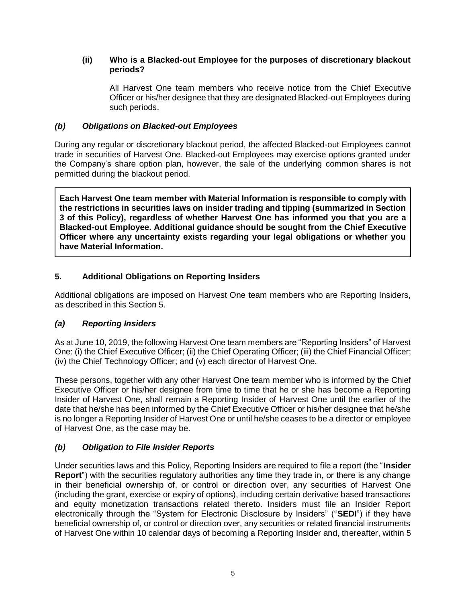## <span id="page-5-0"></span>**(ii) Who is a Blacked-out Employee for the purposes of discretionary blackout periods?**

All Harvest One team members who receive notice from the Chief Executive Officer or his/her designee that they are designated Blacked-out Employees during such periods.

## *(b) Obligations on Blacked-out Employees*

During any regular or discretionary blackout period, the affected Blacked-out Employees cannot trade in securities of Harvest One. Blacked-out Employees may exercise options granted under the Company's share option plan, however, the sale of the underlying common shares is not permitted during the blackout period.

**Each Harvest One team member with Material Information is responsible to comply with the restrictions in securities laws on insider trading and tipping (summarized in Section 3 of this Policy), regardless of whether Harvest One has informed you that you are a Blacked-out Employee. Additional guidance should be sought from the Chief Executive Officer where any uncertainty exists regarding your legal obligations or whether you have Material Information.**

# **5. Additional Obligations on Reporting Insiders**

Additional obligations are imposed on Harvest One team members who are Reporting Insiders, as described in this Section 5.

# *(a) Reporting Insiders*

As at June 10, 2019, the following Harvest One team members are "Reporting Insiders" of Harvest One: (i) the Chief Executive Officer; (ii) the Chief Operating Officer; (iii) the Chief Financial Officer; (iv) the Chief Technology Officer; and (v) each director of Harvest One.

These persons, together with any other Harvest One team member who is informed by the Chief Executive Officer or his/her designee from time to time that he or she has become a Reporting Insider of Harvest One, shall remain a Reporting Insider of Harvest One until the earlier of the date that he/she has been informed by the Chief Executive Officer or his/her designee that he/she is no longer a Reporting Insider of Harvest One or until he/she ceases to be a director or employee of Harvest One, as the case may be.

# *(b) Obligation to File Insider Reports*

Under securities laws and this Policy, Reporting Insiders are required to file a report (the "**Insider Report**") with the securities regulatory authorities any time they trade in, or there is any change in their beneficial ownership of, or control or direction over, any securities of Harvest One (including the grant, exercise or expiry of options), including certain derivative based transactions and equity monetization transactions related thereto. Insiders must file an Insider Report electronically through the "System for Electronic Disclosure by Insiders" ("**SEDI**") if they have beneficial ownership of, or control or direction over, any securities or related financial instruments of Harvest One within 10 calendar days of becoming a Reporting Insider and, thereafter, within 5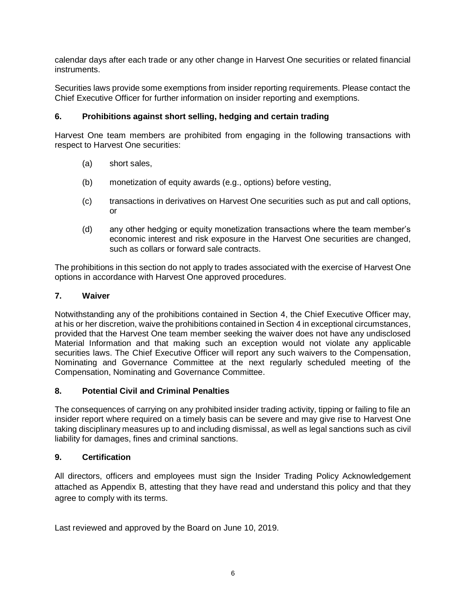calendar days after each trade or any other change in Harvest One securities or related financial instruments.

Securities laws provide some exemptions from insider reporting requirements. Please contact the Chief Executive Officer for further information on insider reporting and exemptions.

# **6. Prohibitions against short selling, hedging and certain trading**

Harvest One team members are prohibited from engaging in the following transactions with respect to Harvest One securities:

- (a) short sales,
- (b) monetization of equity awards (e.g., options) before vesting,
- (c) transactions in derivatives on Harvest One securities such as put and call options, or
- (d) any other hedging or equity monetization transactions where the team member's economic interest and risk exposure in the Harvest One securities are changed, such as collars or forward sale contracts.

The prohibitions in this section do not apply to trades associated with the exercise of Harvest One options in accordance with Harvest One approved procedures.

## **7. Waiver**

Notwithstanding any of the prohibitions contained in Section [4,](#page-4-1) the Chief Executive Officer may, at his or her discretion, waive the prohibitions contained in Section [4](#page-4-1) in exceptional circumstances, provided that the Harvest One team member seeking the waiver does not have any undisclosed Material Information and that making such an exception would not violate any applicable securities laws. The Chief Executive Officer will report any such waivers to the Compensation, Nominating and Governance Committee at the next regularly scheduled meeting of the Compensation, Nominating and Governance Committee.

## **8. Potential Civil and Criminal Penalties**

The consequences of carrying on any prohibited insider trading activity, tipping or failing to file an insider report where required on a timely basis can be severe and may give rise to Harvest One taking disciplinary measures up to and including dismissal, as well as legal sanctions such as civil liability for damages, fines and criminal sanctions.

## **9. Certification**

All directors, officers and employees must sign the Insider Trading Policy Acknowledgement attached as Appendix B, attesting that they have read and understand this policy and that they agree to comply with its terms.

Last reviewed and approved by the Board on June 10, 2019.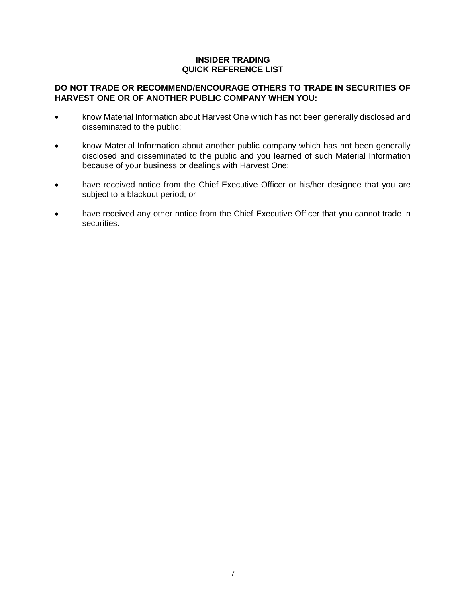## **INSIDER TRADING QUICK REFERENCE LIST**

## **DO NOT TRADE OR RECOMMEND/ENCOURAGE OTHERS TO TRADE IN SECURITIES OF HARVEST ONE OR OF ANOTHER PUBLIC COMPANY WHEN YOU:**

- know Material Information about Harvest One which has not been generally disclosed and disseminated to the public;
- know Material Information about another public company which has not been generally disclosed and disseminated to the public and you learned of such Material Information because of your business or dealings with Harvest One;
- have received notice from the Chief Executive Officer or his/her designee that you are subject to a blackout period; or
- have received any other notice from the Chief Executive Officer that you cannot trade in securities.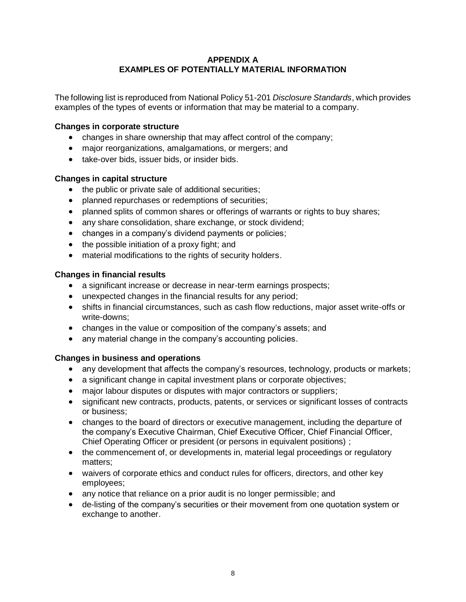## **APPENDIX A EXAMPLES OF POTENTIALLY MATERIAL INFORMATION**

The following list is reproduced from National Policy 51-201 *Disclosure Standards*, which provides examples of the types of events or information that may be material to a company.

## **Changes in corporate structure**

- changes in share ownership that may affect control of the company;
- major reorganizations, amalgamations, or mergers; and
- take-over bids, issuer bids, or insider bids.

#### **Changes in capital structure**

- the public or private sale of additional securities;
- planned repurchases or redemptions of securities;
- planned splits of common shares or offerings of warrants or rights to buy shares;
- any share consolidation, share exchange, or stock dividend;
- changes in a company's dividend payments or policies;
- the possible initiation of a proxy fight; and
- material modifications to the rights of security holders.

#### **Changes in financial results**

- a significant increase or decrease in near-term earnings prospects;
- unexpected changes in the financial results for any period;
- shifts in financial circumstances, such as cash flow reductions, major asset write-offs or write-downs;
- changes in the value or composition of the company's assets; and
- any material change in the company's accounting policies.

## **Changes in business and operations**

- any development that affects the company's resources, technology, products or markets;
- a significant change in capital investment plans or corporate objectives;
- major labour disputes or disputes with major contractors or suppliers;
- significant new contracts, products, patents, or services or significant losses of contracts or business;
- changes to the board of directors or executive management, including the departure of the company's Executive Chairman, Chief Executive Officer, Chief Financial Officer, Chief Operating Officer or president (or persons in equivalent positions) ;
- the commencement of, or developments in, material legal proceedings or regulatory matters;
- waivers of corporate ethics and conduct rules for officers, directors, and other key employees;
- any notice that reliance on a prior audit is no longer permissible; and
- de-listing of the company's securities or their movement from one quotation system or exchange to another.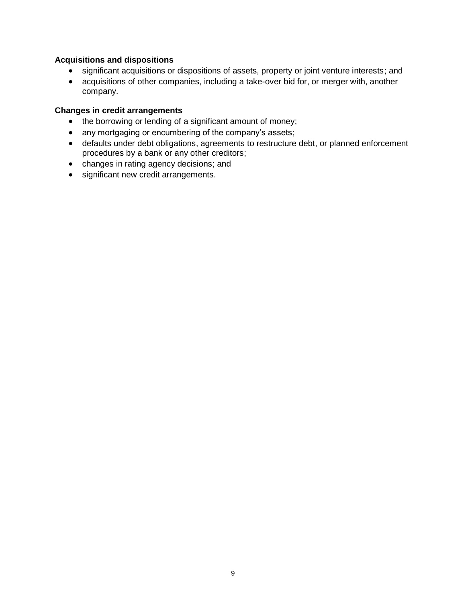## **Acquisitions and dispositions**

- significant acquisitions or dispositions of assets, property or joint venture interests; and
- acquisitions of other companies, including a take-over bid for, or merger with, another company.

#### **Changes in credit arrangements**

- the borrowing or lending of a significant amount of money;
- any mortgaging or encumbering of the company's assets;
- defaults under debt obligations, agreements to restructure debt, or planned enforcement procedures by a bank or any other creditors;
- changes in rating agency decisions; and
- significant new credit arrangements.